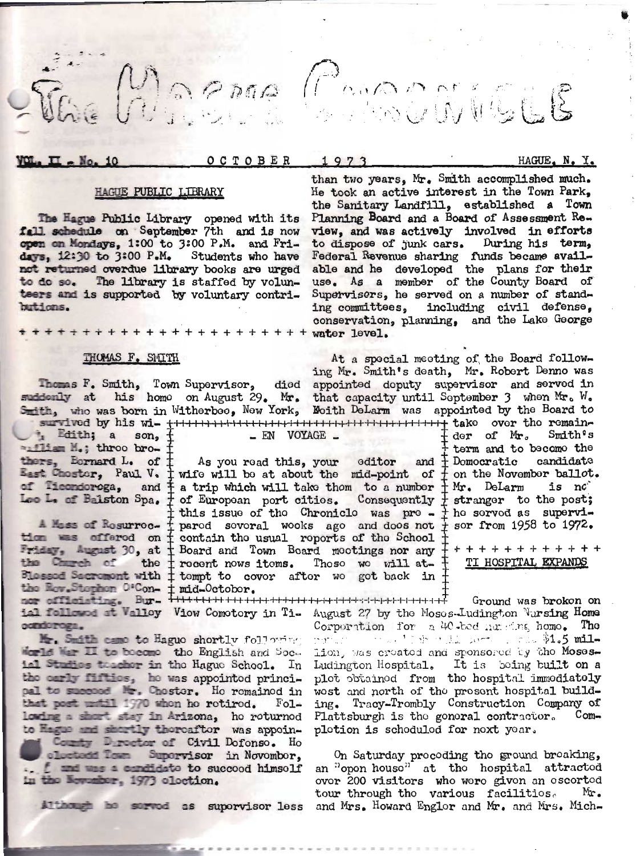GRAMA COMORANTS

OCTOBER

 $\_$  EN  $VOYAGE$   $\_$ 

1973

HAGUE, N. Y.

## **HAGUE PUBLIC LIBRARY**

The Hague Public Library opened with its fall schedule on September 7th and is now open on Mondays, 1:00 to 3:00 P.M. and Fridays, 12:30 to 3:00 P.M. Students who have not returned overdue library books are urged to do so. The library is staffed by volunteers and is supported by voluntary contributions.

\* \* \* \* + + + + + + + + + + + +

#### THOMAS F. SMITH

Thomas F. Smith, Town Supervisor, died appointed deputy supervisor and served in suddenly at his homo on August 29. Mr. that capacity until September 3 when Mr. W. Smith, who was born in Witherbee, New York, Moith DeLarm w

Edith; a son, f mailian M.; throo bro-

 $\overline{\mathbf{u}}$  = No. 10

the Church of the Procent nows items. These we will at-<br>Blessed Sacroment with  $\frac{1}{t}$  tompt to cover after we got back in condoroga.

Smith came to Eague shortly following Morld Mar II to become the English and Social Studies teacher in the Hague School. In the carly fifties, he was appointed princi-<br>pal to succeed Mr. Chester. He remained in that post until 1970 whon he retired.  $_{\text{Fol}-}$ lowing a short stay in Arizona, ho roturnod to Hague and shortly thereafter was appoin-

County Durector of Civil Dofonso. Ho olectedd Town Supervisor in November. . f and was a candidate to succeed himself in the November, 1973 election.

Although he served as supervisor less

He took an active interest in the Town Park, the Sanitary Landfill, established a Town Planning Board and a Board of Assessment Review, and was actively involved in efforts to dispose of junk cars. During his term,<br>Federal Revenue sharing funds became available and he developed the plans for their use. As a member of the County Board of Supervisers, he served on a number of standing committees, including civil defense, conservation, planning, and the Lake George  $+ + + + +$  water level.

than two years, Mr. Smith accomplished much.

At a special meeting of the Board follow-<br>ing Mr. Smith's death, Mr. Robert Denno was der of Mr.  $Smith<sup>g</sup>$ s term and to become the thers, Bornard L. of  $\frac{1}{k}$  As you read this, your editor and  $\frac{1}{k}$  Domocratic candidate East Chostor, Paul V.  $\frac{1}{k}$  wife will be at about the mid-point of  $\frac{1}{k}$  on the November ballot. of Tiecndoroga, and editor and  $\frac{1}{k}$  Domocratic Les L. of Balston Spa. + of European port cities. Consequently + stranger to the post;<br>
this issue of the Chronicle was pre- + he served as supervi-<br>
Mass of Resurrec- + pared several wooks ago and does not + ser from 1958

TI HOSPITAL EXPANDS

Ground was brokon on Corporation for a 40-bed numeros, homo. The lion, was created and sponsored by the Moses-Ludington Hospital. It is boing built on a plot obtained from the hospital immediately wost and north of the prosent hospital building. Tracy-Trombly Construction Company of Plattsburgh is the goneral contractor. Completion is schoduled for next year.

> On Saturday procoding tho ground broaking, an "opon house" at the hospital attracted over 200 visitors who were given an escorted tour through tho various facilitios. Mr. and Mrs. Howard Englor and Mr. and Mrs. Mich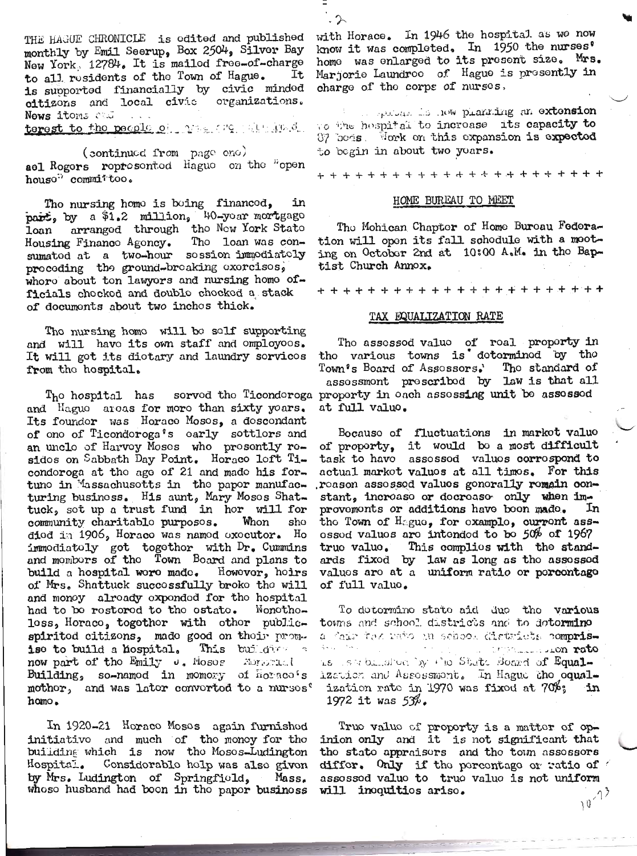THE HAGUE CHRONICLE is edited and published monthly by Emil Seerup, Box 2504, Silver Bay New York, 12784. It is mailed free-of-charge to all residents of the Town of Hague. Ιť is supported financially by civic minded citizons and local civic organizations. Nows itoms Mad

terest to the people of the create in the

(continued from page one) ael Rogers represented Hague on the "open house" committoo.

Tho nursing homo is boing financed, part, by a \$1.2 million, 40-year mortgage<br>loan arranged through the New York State<br>Housing Finance Agency. The loan was consumated at a two-hour session immodiately proceding the ground-breaking exercises, whore about ton lawyors and nursing home officials chocked and double chocked a stack of documents about two inches thick.

Tho nursing homo will bo solf supporting and will have its own staff and omployoes. It will got its diotary and laundry sorvicos from the hospital.

and Haguo aroas for moro than sixty yoars. Its foundor was Horace Mosos, a doscondant of one of Ticondoroga's early sottlers and an unclo of Harvoy Moses who prosently residos on Sabbath Day Point. Horaco loft Ticondoroga at the age of 21 and made his fortuno in Massachusotts in the papor manufacturing business. His aunt, Mary Moses Shattuck, sot up a trust fund in hor will for community charitablo purposos. Whon sho died in 1906, Horace was named executor. Ho immodiatoly got together with Dr. Cummins<br>and members of the Town Board and plans to build a hospital wore made. However, heirs of Mrs. Shattuck successfully broke the will and monoy alroady oxpondod for the hospital had to be restered to the estate. Wonetheloss, Horaco, togethor with other publicspirited citizons, made good on their promise to build a hospital. This building a now part of the Emily v. Moses Apropriat Building, so-namod in momory of horses's mothor, and was later converted to a nurses? homo.

In 1920-21 Horaco Mosos again furnished initiative and much of the money for the building which is now the Mosos-Ludington Hospital. Considerable help was also given by Mrs. Ludington of Springfield, Mass. whoso husband had boon in tho papor business

with Horace. In 1946 the hospital as we now know it was completed. In 1950 the nurses' home was enlarged to its present size. Mrs. Marjorie Laundree of Hague is presently in charge of the corps of nurses,

s palas is now planting an extension Vo the hospital to incroase its capacity to 87 hods. Work on this expansion is expected to begin in about two years.

#### HOME BUREAU TO MEET

The Mohican Chapter of Home Bureau Federation will open its fall schodule with a mooting on October 2nd at 10:00 A.M. in the Baptist Church Annox.

### TAX EQUALIZATION RATE

The assessed value of real property in tho various towns is dotorminod by tho Town's Board of Assessors.' The standard of assossmont proscribod by law is that all The hospital has served the Ticonderoga property in each assessing unit be assessed at full valuo.

> Bocauso of fluctuations in markot value of proporty, it would be a most difficult task to havo assossed valuos corrospond to actual markot valuos at all timos. For this roason assossed values gonorally remain constant, increase or decrease only when im-<br>provements or additions have been made. In In the Town of Hague, for example, current assossod valuos are intended to be 50% of 1967 truo valuo. This complies with the standards fixed by law as long as the assessed<br>values are at a uniform ratio or percentage of full value.

To dotormino stato aid duo tho various towns and school districts and to dotormino a fair tex rato in school districts comprisand the component non rate 经收入 医外科 is iserbimation by the State Board of Equalization and Assessmont. In Hague the equalization rate in 1970 was fixed at 70%: ٠in 1972 it was  $53\%$ .

True value of proporty is a matter of opinion only and it is not significant that tho state appraisers and the town assessors differ. Only if the percentage or ratio of assossod valuo to truo valuo is not uniform  $10^{-13}$ will inoquitios ariso.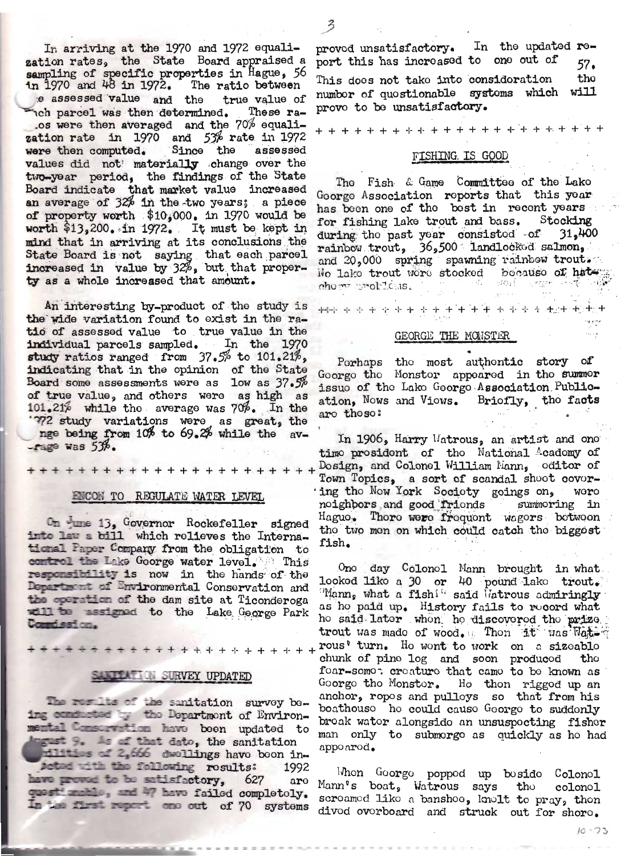In arriving at the 1970 and 1972 equalization rates, the State Board appraised a sampling of specific properties in Hague, 56 in  $1970$  and  $48$  in  $1972$ . The ratio between e assessed value and the true value of nch parcel was then determined. These ra-.os were then averaged and the 70% equalization rate in  $1970$  and  $5\%$  rate in 1972 were then computed. Since the assessed values did not materially change over the two-year period, the findings of the State Board indicate that market value increased an average of 32% in the two years; a piece of property worth \$10,000. in 1970 would be worth \$13,200. in 1972. It must be kept in mind that in arriving at its conclusions the State Board is not saying that each parcel<br>increased in value by  $32\%$ , but that proper-<br>ty as a whole increased that amount.

An interesting by-product of the study is the wide variation found to exist in the ratio of assessed value to true value in the individual parcels sampled. In the 1970 study ratios ranged from 37.5% to 101.21%, indicating that in the opinion of the State Board some assessments were as low as 37.5% of true value, and others were as high as 101.21% while the average was 70%. In the '772 study variations were as great, the nge being from 10% to 69.2% while the av- $-$ rage was  $53%$ .

\*\*\*\*\*\*\*\*\*\*\*\*\*\*\*\*\*\*\*\*\*\*\*

#### ENCON TO REGULATE WATER LEVEL

On tune 13, Governor Rockefeller signed into law a bill which relieves the International Paper Company from the obligation to combrol the Lake Goorge water level. This responsibility is now in the hands of the Department of Environmental Conservation and the operation of the dam site at Ticonderoga will be assigned to the Lake George Park Compission.

\*\*\*\*\*\*\*\*\*\*\*\*\*\*\*\*\*

## SALE LATER SURVEY UPDATED

The results of the sanitation survey being conducted by the Department of Environmental Consumption have been updated to Ingust 9. As of that dato, the sanitation

milities of 2,666 dwellings have been in-Acted with the following results: 1992 have proved to be satisfactory. 627 are quest mable, and 47 have failed completely. In the first report one out of 70 systems

proved unsatisfactory. In the updated report this has increased to one out of 57. tho This does not take into consideration numbor of quostionable systems which will prove to be unsatisfactory.

# FISHING. IS GOOD

The Fish & Game Committee of the Lake Goorge Association reports that this year has been one of the bost in recent years for fishing lake trout and bass. Stocking during the past year consisted of 31,400 rainbow trout, 36,500 landlocked salmon, and 20,000 spring spawning rainbow trout. No lake trout were stocked because of hater -dolf  $\sim$  equives.  $chom = mot  $1 \text{cis}$ .$ 

### GEORGE THE MONSTER

\*\*\*\*\*\*\*\*\*\*\*\*\*\*\*\*\*\*\*\*\*\*\*

Perhaps the most authentic story of Goorgo the Monster appeared in the summer issuo of the Lake George Association Publication, Nows and Viows. Briofly, the facts are those:

In 1906, Harry Watrous, an artist and one time president of the National Academy of Dosign, and Colonel William Mann, oditor of Town Topics, a sort of scandal shoot covering the Now York Society goings on, were noighbors and good frionds summoring in Haguo. Thore were frequent wagers between the two men on which could catch the biggest fish.

One day Colonel Mann brought in what looked like a 30 or 40 pound lake trout.  $\mathbb{P}$  Mann, what a fish! said  $\mathbb{I}$ atrous admiringly as ho paid up. History fails to rocord what ho said later when he discovered the prize. trout was made of wood. Then it was Watrous' turn. He wont to work on a sizeable chunk of pino log and soon producod tho foar-somot creature that came to be known as Goorgo tho Monstor. Ho thon riggod up an anchor, ropos and pulloys so that from his boathouse he could cause George to suddenly broak water alongside an unsuspecting fisher man only to submorgo as quickly as ho had appoarod.

Whon Goorgo popped up bosido Colonol Mann's boat, Watrous says the colonel screamed like a banshoo, knolt to pray, then dived overboard and struck out for shore.